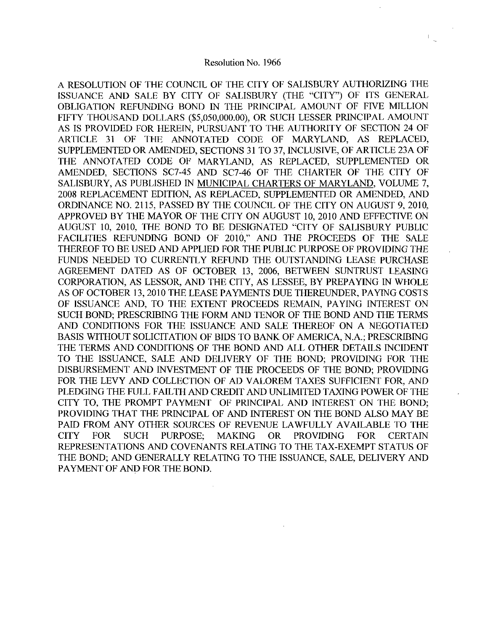A RESOLUTION OF THE COUNCIL OF THE CITY OF SALISBURY AUTHORIZING THE ISSUANCE AND SALE BY CITY OF SALISBURY (THE "CITY") OF ITS GENERAL OBLIGATION REFUNDING BOND IN THE PRINCIPAL AMOUNT OF FIVE MILLION Resolution OF THE COUNCIL OF THE CITY OF SALISBURY AUTHORIZING THE<br>ISSUANCE AND SALE BY CITY OF SALISBURY (THE "CITY") OF ITS GENERAL<br>OBLIGATION REFUNDING BOND IN THE PRINCIPAL AMOUNT OF FIVE MILLION<br>FIFTY THOUSAND DOLLARS AS IS PROVIDED FOR HEREIN. PURSUANT TO THE AUTHORITY OF SECTION 24 OF ARTICLE 31 OF THE ANNOTATED CODE OF MARYLAND, AS REPLACED, SUPPLEMENTED OR AMENDED, SECTIONS 31 TO 37, INCLUSIVE, OF ARTICLE 23A OF THE ANNOTATED CODE OF MARYLAND, AS REPLACED, SUPPLEMENTED OR AMENDED, SECTIONS SC7-45 AND SC7-46 OF THE CHARTER OF THE CITY OF SALISBURY. AS PUBLISHED IN MUNICIPAL CHARTERS OF MARYLAND, VOLUME 7, 2008 REPLACEMENT EDITION, AS REPLACED, SUPPLEMENTED OR AMENDED, AND ORDINANCE NO. 2115, PASSED BY THE COUNCIL OF THE CITY ON AUGUST 9, 2010, APPROVED BY THE MAYOR OF THE CITY ON AUGUST 10, 2010 AND EFFECTIVE ON AUGUST 10, 2010, THE BOND TO BE DESIGNATED "CITY OF SALISBURY PUBLIC FACILITIES REFUNDING BOND OF 2010." AND THE PROCEEDS OF THE SALE THEREOF TO BE USED ANDAPPLIED FOR THE PUBLIC PURPOSE OF PROVIDING THE FUNDS NEEDED TO CURRENTLY REFUND THE OUTSTANDING LEASE PURCHASE AGREEMENT DATED AS OF OCTOBER 13 2006 BETWEEN SUNTRUST LEASING CORPORATION, AS LESSOR, AND THE CITY, AS LESSEE, BY PREPAYING IN WHOLE AS OF OCTOBER 13, 2010 THE LEASE PAYMENTS DUE THEREUNDER, PAYING COSTS OF ISSUANCE AND, TO THE EXTENT PROCEEDS REMAIN, PAYING INTEREST ON SUCH BOND; PRESCRIBING THE FORM AND TENOR OF THE BOND AND THE TERMS SOON BOND, I RESORDING THE FORM AND TENOR OF THE BOND AND THE TERMS<br>AND CONDITIONS FOR THE ISSUANCE AND SALE THEREOF ON A NEGOTIATED<br>BASIS WITHOUT SOLICITATION OF BIDS TO BANK OF AMERICA, N.A.; PRESCRIBING<br>THE TERMS AND CO THE TERMS AND CONDITIONS OF THE BOND AND ALL OTHER DETAILS INCIDENT TO THE ISSUANCE, SALE AND DELIVERY OF THE BOND: PROVIDING FOR THE DISBURSEMENT AND INVESTMENT OF THE PROCEEDS OF THE BOND; PROVIDING FOR THE LEVY AND COLLECTION OF AD VALOREM TAXES SUFFICIENT FOR AND PLEDGING THE FULL FAILTH AND CREDIT AND UNLIMITED TAXING POWER OF THE CITY TO, THE PROMPT PAYMENT OF PRINCIPAL AND INTEREST ON THE BOND; PROVIDING THAT THE PRINCIPAL OF AND INTEREST ON THE BOND ALSO MAY BE PAID FROM ANY OTHER SOURCES OF REVENUE LAWFULLY AVAILABLE TO THE CITY FOR SUCH PURPOSE MAKING OR PROVIDING FOR CERTAIN REPRESENTATIONS AND COVENANTS RELATING TO THE TAX EXEMPT STATUS OF THE BOND; AND GENERALLY RELATING TO THE ISSUANCE, SALE, DELIVERY AND PAYMENT OF AND FOR THE BOND.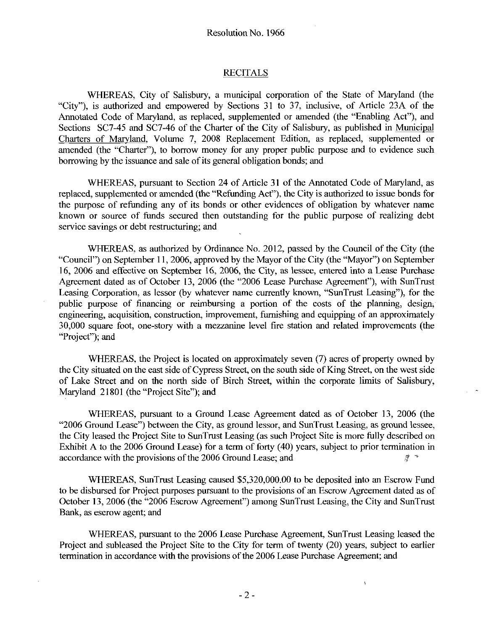### RECITALS

WHEREAS. City of Salisbury, a municipal corporation of the State of Maryland (the "City"), is authorized and empowered by Sections 31 to 37, inclusive, of Article 23A of the Annotated Code of Maryland, as replaced, supplemented or amended (the "Enabling Act"), and<br>Sections SC7-45 and SC7-46 of the Charter of the City of Salisbury, as published in <u>Municipal</u> Charters of Maryland, Volume 7, 2008 Replacement Edition, as replaced, supplemented or amended (the "Charter"), to borrow money for any proper public purpose and to evidence such borrowing by the issuance and sale of its general obligation bonds; and

WHEREAS, pursuant to Section 24 of Article 31 of the Annotated Code of Maryland, as replaced, supplemented or amended (the "Refunding Act"), the City is authorized to issue bonds for the purpose of refunding any of its bonds or other evidences of obligation by whatever name known or source of funds secured then outstanding for the public purpose of realizing debt service savings or debt restructuring; and

WHEREAS, as authorized by Ordinance No. 2012, passed by the Council of the City (the "Council") on September 11, 2006, approved by the Mayor of the City (the "Mayor") on September 16, 2006 and effective on September 16, 2006, the City, as lessee, entered into a Lease Purchase Agreement dated as of October 13, 2006 (the "2006 Lease Purchase Agreement"), with SunTrust Leasing Corporation, as lessor (by whatever name currently known, "SunTrust Leasing"), for the public purpose of financing or reimbursing a portion of the costs of the planning, design, engineering, acquisition, construction, improvement, furnishing and equipping of an approximately 30,000 square foot, one-story with a mezzanine level fire station and related improvements (the "Project": and

WHEREAS, the Project is located on approximately seven (7) acres of property owned by the City situated on the east side of Cypress Street, on the south side of King Street, on the west side of Lake Street and on the north side of Birch Street, within the corporate limits of Salisbury, Maryland 21801 (the "Project Site"); and

WHEREAS, pursuant to a Ground Lease Agreement dated as of October 13, 2006 (the "2006 Ground Lease") between the City, as ground lessor, and SunTrust Leasing, as ground lessee. the City leased the Project Site to SunTrust Leasing (as such Project Site is more fully described on Exhibit A to the 2006 Ground Lease) for a term of forty (40) years, subject to prior termination in accordance with the provisions of the 2006 Ground Lease: and accordance with the provisions of the 2006 Ground Lease; and WHEREAS, pursuant to a Ground Lease Agreement dated as of October 13, 2006 (the Ground Lease") between the City, as ground lessor, and SunTrust Leasing, as ground lessee, leased the Project Site to SunTrust Leasing (as suc

to be disbursed for Project purposes pursuant to the provisions of an Escrow Agreement dated as of October 13, 2006 (the "2006 Escrow Agreement") among SunTrust Leasing, the City and SunTrust Bank, as escrow agent; and

WHEREAS, pursuant to the 2006 Lease Purchase Agreement, SunTrust Leasing leased the Project and subleased the Project Site to the City for term of twenty (20) years, subject to earlier termination in accordance with the provisions of the 2006 Lease Purchase Agreement; and

ł,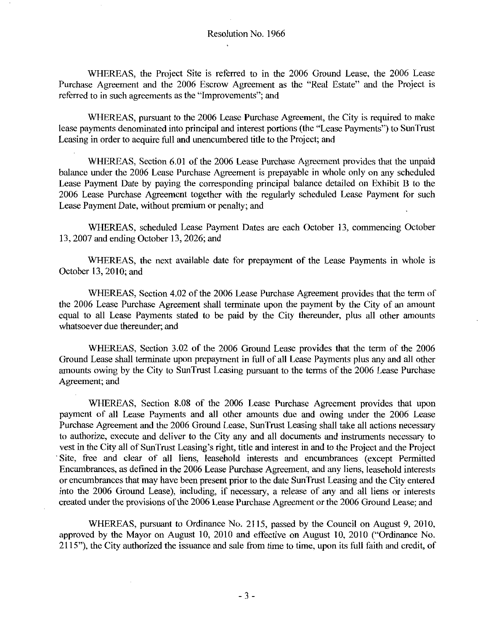WHEREAS the Project Site is referred to in the <sup>2006</sup> Ground Lease the <sup>2006</sup> Lease Purchase Agreement and the 2006 Escrow Agreement as the "Real Estate" and the Project is referred to in such agreements as the "Improvements"; and

WHEREAS, pursuant to the 2006 Lease Purchase Agreement, the City is required to make lease payments denominated into principal and interest portions (the "Lease Payments") to SunTrust Leasing in order to acquire full and unencumbered title to the Project; and

WHEREAS, Section 6.01 of the 2006 Lease Purchase Agreement provides that the unpaid balance under the 2006 Lease Purchase Agreement is prepayable in whole only on any scheduled Lease Payment Date by paying the corresponding principal balance detailed on Exhibit B to the 2006 Lease Purchase Agreement together with the regularly scheduled Lease Payment for such Lease Payment Date, without premium or penalty; and

WHEREAS, scheduled Lease Payment Dates are each October 13, commencing October 13, 2007 and ending October 13, 2026; and

WHEREAS, the next available date for prepayment of the Lease Payments in whole is October 13, 2010; and

WHEREAS, Section 4.02 of the 2006 Lease Purchase Agreement provides that the term of the 2006 Lease Purchase Agreement shall terminate upon the payment by the City of an amount equal to all Lease Payments stated to be paid by the City thereunder, plus all other amounts whatsoever due thereunder; and

WHEREAS, Section 3.02 of the 2006 Ground Lease provides that the term of the 2006 Ground Lease shall terminate upon prepayment in full of all Lease Payments plus any and all other amounts owing by the City to SunTrust Leasing pursuant to the terms of the <sup>2006</sup> Lease Purchase Agreement; and

WHEREAS, Section 8.08 of the 2006 Lease Purchase Agreement provides that upon payment of all Lease Payments and all other amounts due and owing under the <sup>2006</sup> Lease Purchase Agreement and the 2006 Ground Lease, SunTrust Leasing shall take all actions necessary to authorize, execute and deliver to the City any and all documents and instruments necessary to WHEREAS, Section 8.08 of the 2006 Lease Purchase Agreement provides that upon<br>payment of all Lease Payments and all other amounts due and owing under the 2006 Lease<br>Purchase Agreement and the 2006 Ground Lease, SunTrust Le Site, free and clear of all liens, leasehold interests and encumbrances (except Permitted Encumbrances, as defined in the 2006 Lease Purchase Agreement, and any liens, leasehold interests orencumbrances that may have been present prior to the date SunTrust Leasing and the City entered into the 2006 Ground Lease), including, if necessary, a release of any and all liens or interests created under the provisions of the 2006 Lease Purchase Agreement or the 2006 Ground Lease; and

WHEREAS, pursuant to Ordinance No. 2115, passed by the Council on August 9, 2010, approved by the Mayor on August 10, 2010 and effective on August 10, 2010 ("Ordinance No. 2115"), the City authorized the issuance and sale from time to time, upon its full faith and credit, of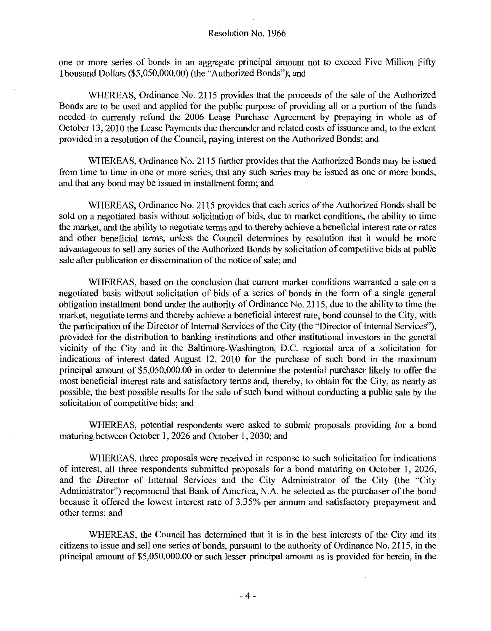one or more series of bonds in an aggregate principal amount not to exceed Five Million Fifty Resolution No. 1966<br>
one or more series of bonds in an aggregate principal amount<br>
Thousand Dollars (\$5,050,000.00) (the "Authorized Bonds"); and<br>
WHEREAS, Ordinance No. 2115 provides that the proc

WHEREAS, Ordinance No. 2115 provides that the proceeds of the sale of the Authorized Bonds are to be used and applied for the public purpose of providing all or a portion of the funds needed to currently refund the <sup>2006</sup> Lease Purchase Agreement by prepaying in whole as of October 13, 2010 the Lease Payments due thereunder and related costs of issuance and, to the extent provided in a resolution of the Council, paying interest on the Authorized Bonds; and

WHEREAS, Ordinance No. 2115 further provides that the Authorized Bonds may be issued from time to time in one or more series, that any such series may be issued as one or more bonds, and that any bond may be issued in installment form; and

WHEREAS, Ordinance No. 2115 provides that each series of the Authorized Bonds shall be sold on a negotiated basis without solicitation of bids, due to market conditions, the ability to time the market, and the ability to negotiate terms and to thereby achieve a beneficial interest rate or rates and other beneficial terms, unless the Council determines by resolution that it would be more advantageous to sell any series of the Authorized Bonds by solicitation of competitive bids at public sale after publication or dissemination of the notice of sale; and

WHEREAS, based on the conclusion that current market conditions warranted a sale on a negotiated basis without solicitation of bids of a series of bonds in the form of a single general obligation installment bond under the authority of Ordinance No. 2115, due to the ability to time the market, negotiate terms and thereby achieve a beneficial interest rate, bond counsel to the City, with the participation of the Director of Internal Services of the City (the "Director of Internal Services"), provided for the distribution to banking institutions and other institutional investors in the general vicinity of the City and in the Baltimore-Washington, D.C. regional area of a solicitation for vicinity of the City and in the Baltimore-Washington, D.C. regional area of a solicitation for indications of interest dated August 12, 2010 for the purchase of such bond in the maximum negotiated basis without solicitation of buts of a series of bonds in the form of a single general<br>obligation installment bond under the authority of Ordinance No. 2115, due to the ability to time the<br>market, negotiate ter most beneficial interest rate and satisfactory terms and, thereby, to obtain for the City, as nearly as possible, the best possible results for the sale of such bond without conducting a public sale by the solicitation of competitive bids; and

WHEREAS, potential respondents were asked to submit proposals providing for a bond maturing between October 1, 2026 and October 1, 2030; and

WHEREAS, three proposals were received in response to such solicitation for indications of interest, all three respondents submitted proposals for a bond maturing on October 1, 2026, or interest, all three respondents submitted proposals for a bond maturing on October 1, 2026,<br>and the Director of Internal Services and the City Administrator of the City (the "City<br>Administrator") recommend that Bank of other terms; and and the Director of Internal services and the City Administrator of the City (the City<br>Administrator") recommend that Bank of America, N.A. be selected as the purchaser of the bond<br>because it offered the lowest interest ra

WHEREAS, the Council has determined that it is in the best interests of the City and its citizens to issue and sell one series of bonds, pursuant to the authority of Ordinance No. 2115, in the principal amount of \$5,050,000.00 or such lesser principal amount as is provided for herein, in the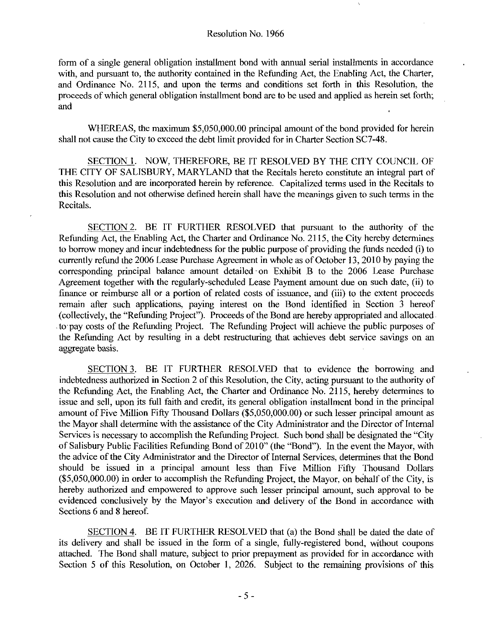form of <sup>a</sup> single general obligation installment bond with annual serial installments in accordance with, and pursuant to, the authority contained in the Refunding Act, the Enabling Act, the Charter, and Ordinance No. 2115, and upon the terms and conditions set forth in this Resolution, the proceeds of which general obligation installment bond are to be used and applied as herein set forth and a single general obligation installment bond with annual serial installments in accordance<br>d pursuant to, the authority contained in the Refunding Act, the Enabling Act, the Charter,<br>dinance No. 2115, and upon the terms an

WHEREAS, the maximum \$5,050,000.00 principal amount of the bond provided for herein shall not cause the City to exceed the debt limit provided for in Charter Section SC7-48.

SECTION 1. NOW, THEREFORE, BE IT RESOLVED BY THE CITY COUNCIL OF THE CITY OF SALISBURY, MARYLAND that the Recitals hereto constitute an integral part of this Resolution and are incorporated herein by reference Capitalized terms used in the Recitals to this Resolution and not otherwise defined herein shall have the meanings given to such terms in the Recitals

SECTION 2. BE IT FURTHER RESOLVED that pursuant to the authority of the Refunding Act, the Enabling Act, the Charter and Ordinance No. 2115, the City hereby determines SECTION 2. BE IT FURTHER RESOLVED that pursuant to the authority of the Refunding Act, the Enabling Act, the Charter and Ordinance No. 2115, the City hereby determines to borrow money and incur indebtedness for the public currently refund the <sup>2006</sup> Lease Purchase Agreement in whole as of October <sup>13</sup> <sup>2010</sup> by paying the corresponding principal balance amount detailed on Exhibit B to the 2006 Lease Purchase Agreement together with the regularly-scheduled Lease Payment amount due on such date, (ii) to finance or reimburse all or a portion of related costs of issuance, and (iii) to the extent proceeds remain after such applications, paying interest on the Bond identified in Section 3 hereof (collectively, the "Refunding Project"). Proceeds of the Bond are hereby appropriated and allocated to pay costs of the Refunding Project The Refunding Project will achieve the public purposes of the Refunding Act by resulting in a debt restructuring that achieves debt service savings on an aggregate basis

SECTION 3. BE IT FURTHER RESOLVED that to evidence the borrowing and indebtedness authorized in Section 2 of this Resolution, the City, acting pursuant to the authority of the Refunding Act, the Enabling Act, the Charter and Ordinance No. 2115, hereby determines to issue and sell, upon its full faith and credit, its general obligation installment bond in the principal amount of Five Million Fifty Thousand Dollars (\$5,050,000.00) or such lesser principal amount as be pay cesses of the Refunding Trajectics in the relationing Trajectics with the Refunding Act by resulting in a debt restructuring that achieves debt service savings on an aggregate basis.<br>
<u>SECTION 3</u>. BE IT FURTHER RESO the Mayor shall determine with the assistance of the City Administrator and the Director of Internal Services is necessary to accomplish the Refunding Project. Such bond shall be designated the "City" of Salisbury Public Facilities Refunding Bond of 2010" (the "Bond"). In the event the Mayor, with the advice of the City Administrator and the Director of Intemal Services detemunes that the Bond should be issued in a principal amount less than Five Million Fifty Thousand Dollars issue and sen, u<br>amount of Five<br>the Mayor shall<br>Services is nece<br>of Salisbury Pul<br>the advice of the<br>should be issu<br>(\$5,050,000.00)<br>hereby authorizevidenced conc of Salisbury Public Facilities Refunding Bond of 2010" (the "Bond"). In the event the Mayor, with<br>the advice of the City Administrator and the Director of Internal Services, determines that the Bond<br>should be issued in a p hereby authorized and empowered to approve such lesser principal amount, such approval to be evidenced conclusively by the Mayor's execution and delivery of the Bond in accordance with should be issued in a principal amount less than Five Million Fifty Thousand Dollars (\$5,050,000.00) in order to accomplish the Refunding Project, the Mayor, on behalf of the City, is hereby authorized and empowered to app Sections 6 and 8 hereof.

SECTION 4. BE IT FURTHER RESOLVED that (a) the Bond shall be dated the date of its delivery and shall be issued in the form of a single, fully-registered bond, without coupons attached. The Bond shall mature, subject to prior prepayment as provided for in accordance with Section 5 of this Resolution, on October 1, 2026. Subject to the remaining provisions of this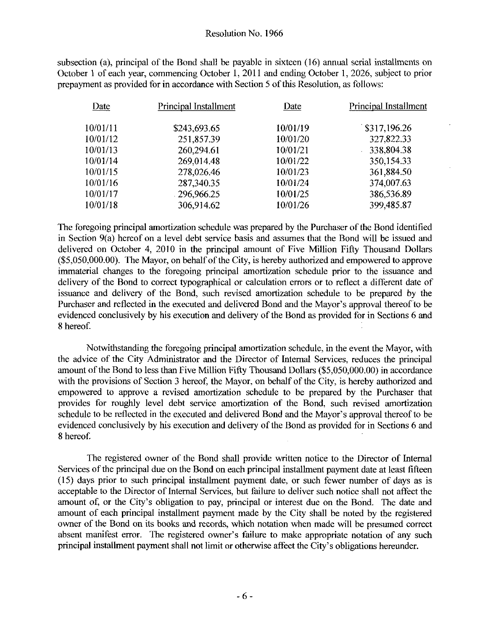subsection (a), principal of the Bond shall be payable in sixteen (16) annual serial installments on October 1 of each year, commencing October 1, 2011 and ending October 1, 2026, subject to prior prepayment as provided for in accordance with Section 5 of this Resolution, as follows:

| Date     | Principal Installment | Date     | Principal Installment |
|----------|-----------------------|----------|-----------------------|
| 10/01/11 | \$243,693.65          | 10/01/19 | \$317,196.26          |
| 10/01/12 | 251,857.39            | 10/01/20 | 327,822.33            |
| 10/01/13 | 260,294.61            | 10/01/21 | 338,804.38            |
| 10/01/14 | 269,014.48            | 10/01/22 | 350,154.33            |
| 10/01/15 | 278,026.46            | 10/01/23 | 361,884.50            |
| 10/01/16 | 287,340.35            | 10/01/24 | 374,007.63            |
| 10/01/17 | 296,966.25            | 10/01/25 | 386,536.89            |
| 10/01/18 | 306,914.62            | 10/01/26 | 399,485.87            |

The foregoing principal amortization schedule was prepared by the Purchaser of the Bond identified in Section 9(a) hereof on a level debt service basis and assumes that the Bond will be issued and delivered on October 4, 2010 in the principal amount of Five Million Fifty Thousand Dollars  $10/01/16$ <br> $10/01/17$ <br> $10/01/18$ <br>The foregoing pr<br>in Section 9(a) h<br>delivered on Oc<br> $(\$5,050,000.00)$ .<br>immaterial chan<br>delivery of the E The foregoing principal amortization schedule was prepared by the Purchaser of the Bond identified<br>in Section 9(a) hereof on a level debt service basis and assumes that the Bond will be issued and<br>delivered on October 4, 2 immaterial changes to the foregoing principal amortization schedule prior to the issuance and delivery of the Bond to correct typographical or calculation errors or to reflect a different date of issuance and delivery of the Bond, such revised amortization schedule to be prepared by the Purchaser and reflected in the executed and delivered Bond and the Mayor's approval thereof to be immaterial changes to the foregoing principal amortization schedule prior to the issuance and delivery of the Bond to correct typographical or calculation errors or to reflect a different date of issuance and delivery of t evidenced conclusively by his execution and delivery of the Bond as provided for in Sections <sup>6</sup> and 8hereof

Notwithstanding the foregoing principal amortization schedule, in the event the Mayor, with the advice of the City Administrator and the Director of Internal Services, reduces the principal<br>amount of the Bond to less than Five Million Fifty Thousand Dollars (\$5,050,000.00) in accordance amount of the Bond to less than Five Million Fifty Thousand Dollars (\$5,050,000.00) in accordance to the principal amortization and delivered Bond and the Mayor's approval thereof to be evidenced conclusively by his execut with the provisions of Section 3 hereof, the Mayor, on behalf of the City, is hereby authorized and empowered to approve a revised amortization schedule to be prepared by the Purchaser that provides for roughly level debt service amortization of the Bond, such revised amortization schedule to be reflected in the executed and delivered Bond and the Mayor's approval thereof to be schedule to the bond to less than Tive without Hy Thousand Bonds (99,090,000.00) in accordance<br>with the provisions of Section 3 hereof, the Mayor, on behalf of the City, is hereby authorized and<br>empowered to approve a revi evidenced conclusively by his execution and delivery of the Bond as provided for in Sections <sup>6</sup> and 8 hereof

The registered owner of the Bond shall provide written notice to the Director of Internal Services of the principal due on the Bond on each principal installment payment date at least fifteen 15 days prior to such principal installment payment date or such fewer number of days as is acceptable to the Director of Internal Services, but failure to deliver such notice shall not affect the amount of, or the City's obligation to pay, principal or interest due on the Bond. The date and (15) days prior to such principal installment payment date, or such fewer number of days as is acceptable to the Director of Internal Services, but failure to deliver such notice shall not affect the amount of, or the City owner of the Bond on its books and records, which notation when made will be presumed correct absent manifest error. The registered owner's failure to make appropriate notation of any such principal installment payment sha absent of the City's obligation to pay, principal or interest due on the Bond. The date and amount of each principal installment payment made by the City shall be noted by the registered owner of the Bond on its books and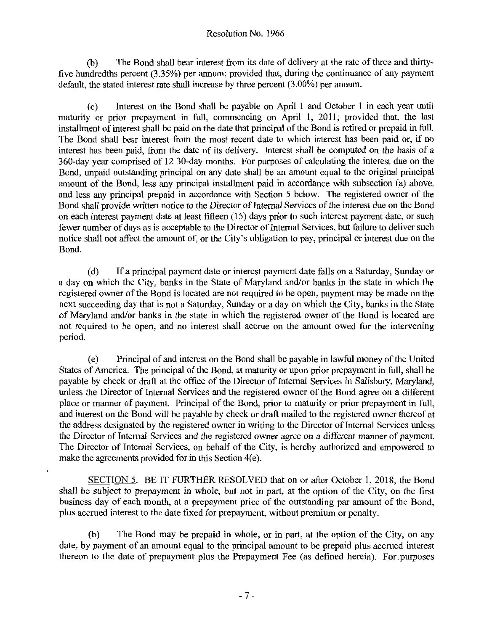b The Bond shall bear interest from its date of delivery at the rate of three and thirty five hundredths percent  $(3.35\%)$  per annum; provided that, during the continuance of any payment default, the stated interest rate shall increase by three percent  $(3.00\%)$  per annum.

c Interest on the Bond shall be payable on April <sup>1</sup> and October <sup>1</sup> in each year until maturity or prior prepayment in full, commencing on April 1, 2011; provided that, the last installment of interest shall be paid on the date that principal of the Bond is retired or prepaid in full. The Bond shall bear interest from the most recent date to which interest has been paid or, if no interest has been paid, from the date of its delivery. Interest shall be computed on the basis of a 360-day year comprised of 12 30-day months. For purposes of calculating the interest due on the Bond, unpaid outstanding principal on any date shall be an amount equal to the original principal amount of the Bond, less any principal installment paid in accordance with subsection (a) above, and less any principal prepaid in accordance with Section 5 below. The registered owner of the Bond shall provide written notice to the Director of Internal Services of the interest due on the Bond on each interest payment date at least fifteen (15) days prior to such interest payment date, or such fewer number of days as is acceptable to the Director of Internal Services, but failure to deliver such notice shall not affect the amount of, or the City's obligation to pay, principal or interest due on the Rond Bond

(d) If a principal payment date or interest payment date falls on a Saturday, Sunday or a day on which the City, banks in the State of Maryland and/or banks in the state in which the registered owner of the Bond is located are not required to be open, payment may be made on the next succeeding day that is not a Saturday, Sunday or a day on which the City, banks in the State<br>of Maryland and/or banks in the state in which the registered owner of the Bond is located are not required to be open, and no interest shall accrue on the amount owed for the intervening period

e Principal of and interest on the Bond shall be payable in lawful money of the United States of America. The principal of the Bond, at maturity or upon prior prepayment in full, shall be payable by check or draft at the office of the Director of Internal Services in Salisbury, Maryland, unless the Director of Internal Services and the registered owner of the Bond agree on a different place or manner of payment. Principal of the Bond, prior to maturity or prior prepayment in full, and interest on the Bond will be payable by check or draft mailed to the registered owner thereof at the address designated by the registered owner in writing to the Director of Internal Services unless the Director of Internal Services and the registered owner agree on <sup>a</sup> different manner of payment The Director of Internal Services, on behalf of the City, is hereby authorized and empowered to make the agreements provided for in this Section  $4(e)$ .

SECTION 5. BE IT FURTHER RESOLVED that on or after October 1, 2018, the Bond shall be subject to prepayment in whole, but not in part, at the option of the City, on the first business day of each month, at a prepayment price of the outstanding par amount of the Bond, plus accrued interest to the date fixed for prepayment, without premium or penalty.

(b) The Bond may be prepaid in whole, or in part, at the option of the City, on any date, by payment of an amount equal to the principal amount to be prepaid plus accrued interest thereon to the date of prepayment plus the Prepayment Fee (as defined herein). For purposes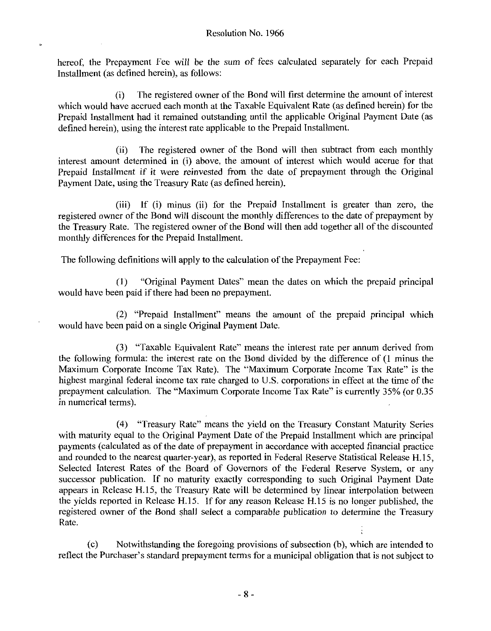hereof, the Prepayment Fee will be the sum of fees calculated separately for each Prepaid Installment (as defined herein), as follows:

Installment (as defined herein), as follows:<br>
(i) The registered owner of the Bond will first determine the amount of interest<br>
which would have accrued each month at the Taxable Equivalent Rate (as defined herein) for the Prepaid Installment had it remained outstanding until the applicable Original Payment Date (as defined herein), using the interest rate applicable to the Prepaid Installment.

(ii) The registered owner of the Bond will then subtract from each monthly interest amount determined in (i) above, the amount of interest which would accrue for that Prepaid Installment if it were reinvested from the date of prepayment through the Original Payment Date, using the Treasury Rate (as defined herein).

(iii) If (i) minus (ii) for the Prepaid Installment is greater than zero, the registered owner of the Bond will discount the monthly differences to the date of prepayment by the Treasury Rate. The registered owner of the Bond will then add together all of the discounted monthly differences for the Prepaid Installment

The following definitions will apply to the calculation of the Prepayment Fee

(1) "Original Payment Dates" mean the dates on which the prepaid principal would have been paid if there had been no prepayment.

 $(2)$  "Prepaid Installment" means the amount of the prepaid principal which would have been paid on a single Original Payment Date

(3) "Taxable Equivalent Rate" means the interest rate per annum derived from the following formula: the interest rate on the Bond divided by the difference of  $(1 \text{ minus the})$ Maximum Corporate Income Tax Rate). The "Maximum Corporate Income Tax Rate" is the Maximum Corporate Income Tax Rate). The "Maximum Corporate Income Tax Rate" is the highest marginal federal income tax rate charged to U.S. corporations in effect at the time of the highest marginal federal income tax rate charged to U.S. corporations in effect at the time of the prepayment calculation. The "Maximum Corporate Income Tax Rate" is currently 35% (or 0.35 in numerical terms).

(4) "Treasury Rate" means the yield on the Treasury Constant Maturity Series with maturity equal to the Original Payment Date of the Prepaid Installment which are principal payments (calculated as of the date of prepayment in accordance with accepted financial practice<br>and rounded to the nearest quarter-year), as reported in Federal Reserve Statistical Release H.15,<br>Selected Interact Bates of Selected Interest Rates of the Board of Governors of the Federal Reserve System, or any successor publication. If no maturity exactly corresponding to such Original Payment Date successor publication. If no maturity exactly corresponding to such Original Payment Date<br>appears in Release H.15, the Treasury Rate will be determined by linear interpolation between<br>the violds reported in Pelease H.15. I the yields reported in Release H.15. If for any reason Release H.15 is no longer published, the yields reported in Release H.15. If for any reason Release H.15 is no longer published, the registered owner of the Bond shall select a comparable publication to determine the Treasury Rate the yields reported in Release H.15. If for any reason Release H.15 is no longer published, the

(c) Notwithstanding the foregoing provisions of subsection (b), which are intended to reflect the Purchaser's standard prepayment terms for a municipal obligation that is not subject to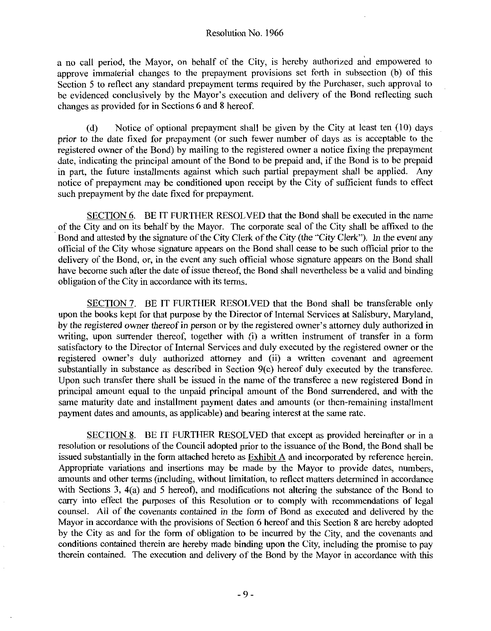a no call period, the Mayor, on behalf of the City, is hereby authorized and empowered to a no call period, the Mayor, on behalt of the City, is hereby authorized and empowered to approve immaterial changes to the prepayment provisions set forth in subsection (b) of this Section 5 to reflect any standard prepayment terms required by the Purchaser, such approval to be evidenced conclusively by the Mayor's execution and delivery of the Bond reflecting such a no call period, the Mayor, on behalf of the City, is hereby authorized and empowered to approve immaterial changes to the prepayment provisions set forth in subsection (b) of this Section 5 to reflect any standard prepay changes as provided for in Sections 6 and <sup>8</sup> hereof

(d) Notice of optional prepayment shall be given by the City at least ten  $(10)$  days prior to the date fixed for prepayment (or such fewer number of days as is acceptable to the registered owner of the Bond) by mailing to the registered owner a notice fixing the prepayment date, indicating the principal amount of the Bond to be prepaid and, if the Bond is to be prepaid in part, the future installments against which such partial prepayment shall be applied. Any notice of prepayment may be conditioned upon receipt by the City of sufficient funds to effect such prepayment by the date fixed for prepayment.

SECTION 6. BE IT FURTHER RESOLVED that the Bond shall be executed in the name of the City and on its behalf by the Mayor. The corporate seal of the City shall be affixed to the Bond and attested by the signature of the City Clerk of the City (the "City Clerk"). In the event any official of the City whose signature appears on the Bond shall cease to be such official prior to the delivery of the Bond, or, in the event any such official whose signature appears on the Bond shall have become such after the date of issue thereof, the Bond shall nevertheless be a valid and binding obligation of the City in accordance with its terms.

SECTION 7. BE IT FURTHER RESOLVED that the Bond shall be transferable only upon the books kept for that purpose by the Director of Internal Services at Salisbury, Maryland, SECTION 7. BE IT FURTHER RESOLVED that the Bond shall be transferable only<br>upon the books kept for that purpose by the Director of Internal Services at Salisbury, Maryland,<br>by the registered owner thereof in person or by t by the registered owner thereof in person or by the registered owner's attorney duly authorized in writing, upon surrender thereof, together with (i) a written instrument of transfer in a form satisfactory to the Director of Internal Services and duly executed by the registered owner or the the registered owner thereof in person or by the registered owner's attorney duly authorized in writing, upon surrender thereof, together with (i) a written instrument of transfer in a form satisfactory to the Director of Upon such transfer there shall be issued in the name of the transferee a new registered Bond in principal amount equal to the unpaid principal amount of the Bond surrendered, and with the same maturity date and installment payment dates and amounts (or then-remaining installment payment dates and amounts, as applicable) and bearing interest at the same rate.

SECTION 8. BE IT FURTHER RESOLVED that except as provided hereinafter or in a resolution or resolutions of the Council adopted prior to the issuance of the Bond, the Bond shall be issued substantially in the form attached hereto as  $Exhibit A$  and incorporated by reference herein. Appropriate variations and insertions may be made by the Mayor to provide dates, numbers, amounts and other terms (including, without limitation, to reflect matters determined in accordance with Sections 3,  $4(a)$  and 5 hereof), and modifications not altering the substance of the Bond to carry into effect the purposes of this Resolution or to comply with recommendations of legal counsel. All of the covenants contained in the form of Bond as executed and delivered by the Mayor in accordance with the provisions of Section 6 hereof and this Section 8 are hereby adopted by the City as and for the form of obligation to be incurred by the City, and the covenants and conditions contained therein are hereby made binding upon the City, including the promise to pay therein contained. The execution and delivery of the Bond by the Mayor in accordance with this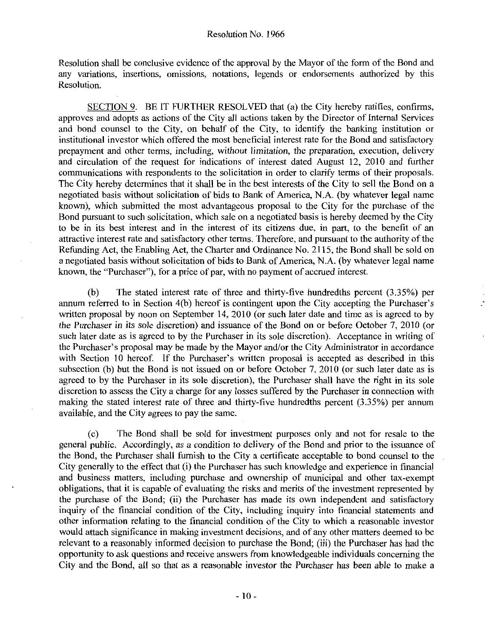Resolution shall be conclusive evidence of the approval by the Mayor of the form of the Bond and any variations, insertions, omissions, notations, legends or endorsements authorized by this Resolution

SECTION 9. BE IT FURTHER RESOLVED that (a) the City hereby ratifies, confirms, approves and adopts as actions of the City all actions taken by the Director of Internal Services and bond counsel to the City, on behalf of the City, to identify the banking institution or institutional investor which offered the most beneficial interest rate for the Bond and satisfactory prepayment and other terms, including, without limitation, the preparation, execution, delivery and circulation of the request for indications of interest dated August 12, 2010 and further communications with respondents to the solicitation in order to clarify terms of their proposals The City hereby determines that it shall be in the best interests of the City to sell the Bond on a negotiated basis without solicitation of bids to Bank of America, N.A. (by whatever legal name appear of  $\alpha$ ). known), which submitted the most advantageous proposal to the City for the purchase of the Bond pursuant to such solicitation, which sale on a negotiated basis is hereby deemed by the City to be in its best interest and in the interest of its citizens due, in part, to the benefit of an attractive interest rate and satisfactory other terms. Therefore, and pursuant to the authority of the Refunding Act, the Enabling Act, the Charter and Ordinance No. 2115, the Bond shall be sold on Refunding Act, the Enabling Act, the Charter and Ordinance No. 2115, the Bond shall be sold on<br>a negotiated basis without solicitation of bids to Bank of America, N.A. (by whatever legal name known, the "Purchaser"), for a price of par, with no payment of accrued interest. beyonds and the stated interest rate of three and thirty-five hundredths percent (3.35%) per referred to in Section 4(b) hereof is contingent upon the City accepting the Purchaser's percent to in Section 4(b) hereof is con attractive interest rate and satisfactory other terms. Therefore, and pursuant to the authority of the Refunding Act, the Enabling Act, the Charter and Ordinance No. 2115, the Bond shall be sold on a negotiated basis witho

the Purchaser in its sole discretion) and issuance of the Bond on or before October 7, 2010 (or such later date as is agreed to by the Purchaser in its sole discretion). Acceptance in writing of the Purchaser's proposal may be made by the Mayor and/or the City Administrator in accordance (b) The stated interest rate of three and thirty-five hundredths percent  $(3.35\%)$  per<br>annum referred to in Section 4(b) hereof is contingent upon the City accepting the Purchaser's<br>written proposal by noon on September 1 (b) The stated interest rate of three and dirty-five nanticedits percent (3.3376) per<br>annum referred to in Section 4(b) hereof is contingent upon the City accepting the Purchaser's<br>written proposal by noon on September 14 with Section 10 hereof. If the Purchaser's written proposal is accepted as described in this subsection (b) but the Bond is not issued on or before October 7,  $2010$  (or such later date as is agreed to by the Purchaser in its sole discretion), the Purchaser shall have the right in its sole discretion to assess the City a charge for any losses suffered by the Purchaser in connection with making the stated interest rate of three and thirty-five hundredths percent (3.35%) per annum making the stated interest rate of three and thirty-five hundredths percent  $(3.35\%)$  per annum available, and the City agrees to pay the same. available, and the City agrees to pay the same.

c The Bond shall be sold for investment purposes only and not for resale to the general public. Accordingly, as a condition to delivery of the Bond and prior to the issuance of the Bond, the Purchaser shall furnish to the City a certificate acceptable to bond counsel to the City generally to the effect that (i) the Purchaser has such knowledge and experience in financial and business matters, including purchase and ownership of municipal and other tax-exempt obligations, that it is capable of evaluating the risks and merits of the investment represented by<br>the purchase of the Bond; (ii) the Purchaser has made its own independent and satisfactory<br>inquiry of the financial condit inquiry of the financial condition of the City, including inquiry into financial statements and other information relating to the financial condition of the City to which a reasonable investor would attach significance in making investment decisions, and of any other matters deemed to be relevant to a reasonably informed decision to purchase the Bond; (iii) the Purchaser has had the opportunity to ask questions and receive answers from knowledgeable individuals concerning the City and the Bond, all so that as a reasonable investor the Purchaser has been able to make a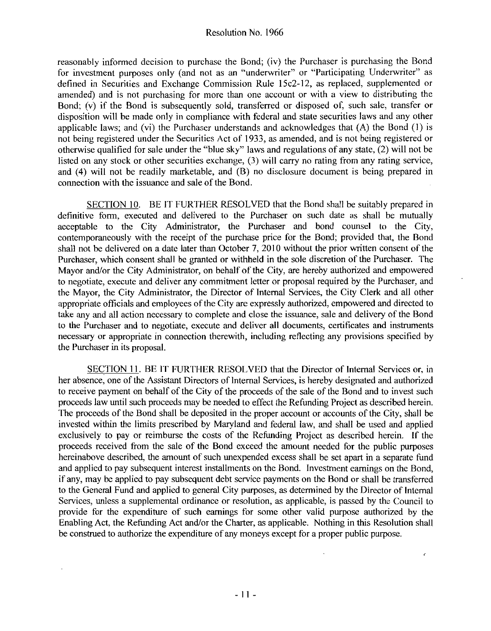reasonably informed decision to purchase the Bond; (iv) the Purchaser is purchasing the Bond for investment purposes only (and not as an "underwriter" or "Participating Underwriter" as defined in Securities and Exchange Commission Rule 15c2-12, as replaced, supplemented or amended) and is not purchasing for more than one account or with a view to distributing the Bond; (v) if the Bond is subsequently sold, transferred or disposed of, such sale, transfer or disposition will be made only in compliance with federal and state securities laws and any other applicable laws; and (vi) the Purchaser understands and acknowledges that  $(A)$  the Bond  $(1)$  is not being registered under the Securities Act of 1933 as amended and is not being registered or otherwise qualified for sale under the "blue sky" laws and regulations of any state,  $(2)$  will not be listed on any stock or other securities exchange,  $(3)$  will carry no rating from any rating service, and  $(4)$  will not be readily marketable, and  $(B)$  no disclosure document is being prepared in connection with the issuance and sale of the Bond

SECTION 10. BE IT FURTHER RESOLVED that the Bond shall be suitably prepared in definitive form, executed and delivered to the Purchaser on such date as shall be mutually acceptable to the City Administrator, the Purchaser and bond counsel to the City, contemporaneously with the receipt of the purchase price for the Bond; provided that, the Bond shall not be delivered on a date later than October 7, 2010 without the prior written consent of the Purchaser, which consent shall be granted or withheld in the sole discretion of the Purchaser. The Mayor and/or the City Administrator, on behalf of the City, are hereby authorized and empowered to negotiate, execute and deliver any commitment letter or proposal required by the Purchaser, and the Mayor, the City Administrator, the Director of Internal Services, the City Clerk and all other appropriate officials and employees of the City are expressly authorized, empowered and directed to take any and all action necessary to complete and close the issuance, sale and delivery of the Bond to the Purchaser and to negotiate, execute and deliver all documents, certificates and instruments necessary or appropriate in connection therewith, including reflecting any provisions specified by the Purchaser in its proposal

SECTION 11. BE IT FURTHER RESOLVED that the Director of Internal Services or, in her absence, one of the Assistant Directors of Internal Services, is hereby designated and authorized to receive payment on behalf of the City of the proceeds of the sale of the Bond and to invest such proceeds law until such proceeds may be needed to effect the Refunding Project as described herein The proceeds of the Bond shall be deposited in the proper account or accounts of the City, shall be invested within the limits prescribed by Maryland and federal law, and shall be used and applied exclusively to pay or reimburse the costs of the Refunding Project as described herein. If the proceeds received from the sale of the Bond exceed the amount needed for the public purposes hereinabove described, the amount of such unexpended excess shall be set apart in a separate fund and applied to pay subsequent interest installments on the Bond. Investment earnings on the Bond, if any may be applied to pay subsequent debt service payments on the Bond or shall be transferred to the General Fund and applied to general City purposes as determined by the Director of Internal Services, unless a supplemental ordinance or resolution, as applicable, is passed by the Council to provide for the expenditure of such earnings for some other valid purpose authorized by the Enabling Act, the Refunding Act and/or the Charter, as applicable. Nothing in this Resolution shall be construed to authorize the expenditure of any moneys except for a proper public purpose.

 $\epsilon$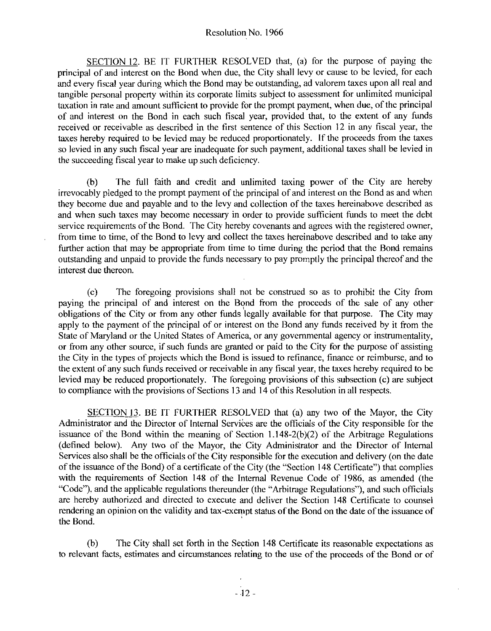SECTION 12. BE IT FURTHER RESOLVED that, (a) for the purpose of paying the principal of and interest on the Bond when due, the City shall levy or cause to be levied, for each and every fiscal year during which the Bond may be outstanding, ad valorem taxes upon all real and tangible personal property within its corporate limits subject to assessment for unlimited municipal taxation in rate and amount sufficient to provide for the prompt payment, when due, of the principal of and interest on the Bond in each such fiscal year, provided that, to the extent of any funds received or receivable as described in the first sentence of this Section 12 in any fiscal year, the taxes hereby required to be levied may be reduced proportionately. If the proceeds from the taxes so levied in any such fiscal year are inadequate for such payment, additional taxes shall be levied in the succeeding fiscal year to make up such deficiency.

b The full faith and credit and unlimited taxing power of the City are hereby irrevocably pledged to the prompt payment of the principal of and interest on the Bond as and when they become due and payable and to the levy and collection of the taxes hereinabove described as and when such taxes may become necessary in order to provide sufficient funds to meet the debt service requirements of the Bond. The City hereby covenants and agrees with the registered owner, from time to time, of the Bond to levy and collect the taxes hereinabove described and to take any further action that may be appropriate from time to time during the period that the Bond remains outstanding and unpaid to provide the funds necessary to pay promptly the principal thereofand the interest due thereon

c The foregoing provisions shall not be wnstmed so as to prohibit the City from paying the principal of and interest on the Bond from the proceeds of the sale of any other obligations of the City or from any other funds legally available for that purpose. The City may apply to the payment of the principal of or interest on the Bond any funds received by it from the State of Maryland or the United States of America, or any governmental agency or instrumentality, or from any other source if such funds are granted or paid to the City for the purpose of assisting the City in the types of projects which the Bond is issued to refmance finance or reimburse and to the extent of any such funds received or receivable in any fiscal year the taxes hereby required to be to compliance with the provisions of Sections 13 and 14 of this Resolution in all respects.

the extent of any such funds received or receivable in any fiscal year, the taxes hereby required to be levied may be reduced proportionately. The foregoing provisions of this subsection (c) are subject to compliance with SECTION 13. BE IT FURTHER RESOLVED that (a) any two of the Mayor, the City Administrator and the Director of Internal Services are the officials of the City responsible for the issuance of the Bond within the meaning of Section  $1.148-2(b)(2)$  of the Arbitrage Regulations (defined below). Any two of the Mayor, the City Administrator and the Director of Internal Services also shall be the officials of the City responsible for the execution and delivery (on the date of the issuance of the Bond) of a certificate of the City (the "Section 148 Certificate") that complies with the requirements of Section 148 of the Internal Revenue Code of 1986, as amended (the "Code"), and the applicable regulations thereunder (the "Arbitrage Regulations"), and such officials aze hereby authorized and directed to execute and deliver the Section 148 Certificate to counsel rendering an opinion on the validity and tax-exempt status of the Bond on the date of the issuance of the Bond

b The City shall set forth in the Section <sup>148</sup> Certificate its reasonable expectations as to relevant facts, estimates and circumstances relating to the use of the proceeds of the Bond or of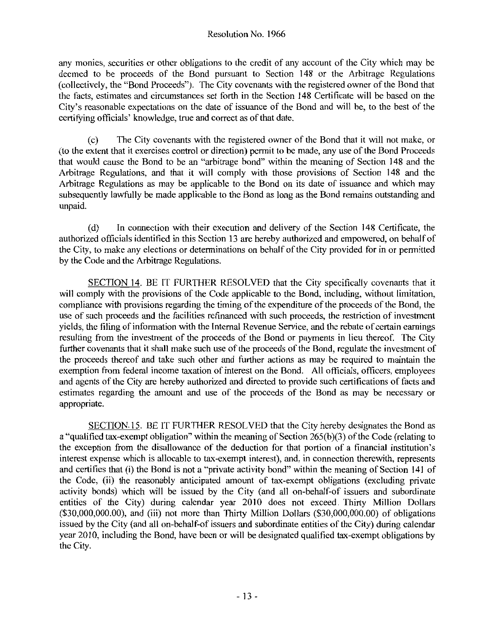any monies, securities or other obligations to the credit of any account of the City which may be deemed to be proceeds of the Bond pursuant to Section <sup>148</sup> or the Arbitrage Regulations (collectively, the "Bond Proceeds"). The City covenants with the registered owner of the Bond that the facts, estimates and circumstances set forth in the Section 148 Certificate will be based on the (collectively, the "Bond Proceeds"). The City covenants with the registered owner of the Bond that the facts, estimates and circumstances set forth in the Section 148 Certificate will be based on the City's reasonable expe City's reasonable expectations on the date of issuance of the Bond and will be, to the best of the certifying officials' knowledge, true and correct as of that date.

c The City covenants with the registered owner of the Bond that it will not make or to the extent that it exercises control or direction permit to be made any use of the Bond Proceeds that would cause the Bond to be an "arbitrage bond" within the meaning of Section 148 and the Arbitrage Regulations, and that it will comply with those provisions of Section 148 and the Arbitrage Regulations as may be applicable to the Bond on its date of issuance and which may subsequently lawfully be made applicable to the Bond as long as the Bond remains outstanding and unpaid

(d) In connection with their execution and delivery of the Section 148 Certificate, the authorized officials identified in this Section 13 are hereby authorized and empowered, on behalf of the City, to make any elections or determinations on behalf of the City provided for in or permitted by the Code and the Arbitrage Regulations

SECTION 14. BE IT FURTHER RESOLVED that the City specifically covenants that it will comply with the provisions of the Code applicable to the Bond, including, without limitation, compliance with provisions regarding the timing of the expenditure of the proceeds of the Bond, the use of such proceeds and the facilities refinanced with such proceeds, the restriction of investment yields, the filing of information with the Internal Revenue Service, and the rebate of certain earnings resulting from the investment of the proceeds of the Bond or payments in lieu thereof. The City further covenants that it shall make such use of the proceeds of the Bond, regulate the investment of the proceeds thereof and take such other and further actions as may be required to maintain the exemption from federal income taxation of interest on the Bond. All officials, officers, employees and agents of the City are hereby authorized and directed to provide such certifications of facts and appropriate

and agents of the City are hereby authorized and directed to provide such certifications of facts and<br>estimates regarding the amount and use of the proceeds of the Bond as may be necessary or<br>appropriate.<br>SECTION.15. BE IT SECTION 15. BE IT FURTHER RESOLVED that the City hereby designates the Bond as a "qualified tax-exempt obligation" within the meaning of Section  $265(b)(3)$  of the Code (relating to the exception from the disallowance of the deduction for that portion of a financial institution's interest expense whic the exception from the disallowance of the deduction for that portion of a financial institution's the exception from the disallowance of the deduction for that portion of a financial institution's<br>interest expense which is allocable to tax-exempt interest), and, in connection therewith, represents<br>and certifies that (i the Code, (ii) the Rond is and a "private activity bond" within the meaning of Section 141 of the Code, (ii) the reasonably anticipated amount of tax-exempt obligations (excluding private activity bonds) which will be issu the exception from the disallowance of the deduction for that portion of a financial institution's<br>interest expense which is allocable to tax-exempt interest), and, in connection therewith, represents<br>and certifies that (i entities of the City) during calendar year 2010 does not exceed. Thirty Million Dollars the Code, (ii) the reasonably anticipated amount of tax-exempt obligations (excluding private activity bonds) which will be issued by the City (and all on-behalf-of issuers and subordinate entities of the City) during cale the Code, (ii) the reasonably anticipated amount of tax-exempt obligations (excluding private activity bonds) which will be issued by the City (and all on-behalf-of issuers and subordinate entities of the City) during cale issued by the City (and all on-behalf-of issuers and subordinate entities of the City) during calendar<br>year 2010, including the Bond, have been or will be designated qualified tax-exempt obligations by the City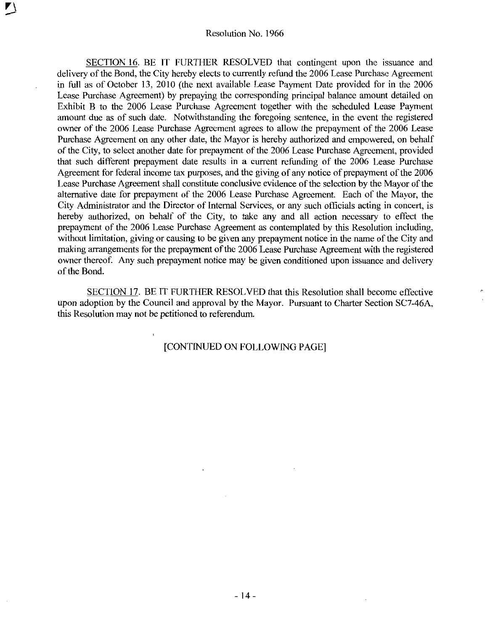$\overline{a}$ 

SECTION 16 BE IT FURTHER RESOLVED that contingent upon the issuance and delivery of the Bond, the City hereby elects to currently refund the 2006 Lease Purchase Agreement in full as of October 13, 2010 (the next available Lease Payment Date provided for in the 2006 Lease Purchase Agreement) by prepaying the corresponding principal balance amount detailed on Exhibit B to the 2006 Lease Purchase Agreement together with the scheduled Lease Payment amount due as of such date. Notwithstanding the foregoing sentence, in the event the registered owner of the 2006 Lease Purchase Agreement agrees to allow the prepayment of the 2006 Lease Purchase Agreement on any other date, the Mayor is hereby authorized and empowered, on behalf of the City, to select another date for prepayment of the 2006 Lease Purchase Agreement, provided that such different prepayment date results in <sup>a</sup> current refunding of the 2006 Lease Purchase Agreement for federal income tax purposes, and the giving of any notice of prepayment of the 2006 Lease Purchase Agreement shall constitute conclusive evidence of the selection by the Mayor of the alternative date for prepayment of the 2006 Lease Purchase Agreement. Each of the Mayor, the City Administrator and the Director of Internal Services, or any such officials acting in concert, is hereby authorized, on behalf of the City, to take any and all action necessary to effect the prepayment of the <sup>2006</sup> Lease Purchase Agreement as contemplated by this Resolution including without limitation, giving or causing to be given any prepayment notice in the name of the City and making arrangements for the prepayment of the <sup>2006</sup> Lease Purchase Agreement with the registered owner thereof. Any such prepayment notice may be given conditioned upon issuance and delivery of the Bond

SECTION 17 BE IT FURTHER RESOLVED that this Resolution shall become effective upon adoption by the Council and approval by the Mayor. Pursuant to Charter Section SC7-46A, this Resolution may not be petitioned to referendum

## [CONTINUED ON FOLLOWING PAGE]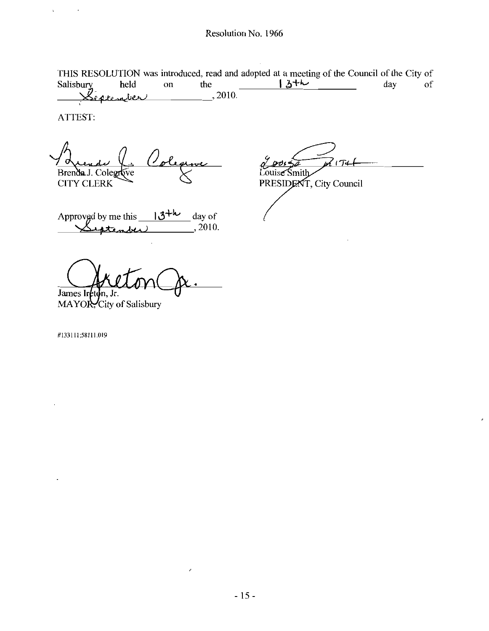THIS RESOLUTION was introduced, read and adopted at a meeting of the Council of the City of THIS RESOLUTION was introduced, read and adopted at a meeting of the Council of the City of<br>Salisbury held on the  $\sqrt{\frac{3+h}{2}}$  day of  $g_{\epsilon, \alpha, t, \epsilon, \alpha, b}$  2010.

ATTEST

 $\cdot$ 

 $\bar{1}$ 

 $\frac{66}{100}$ <br>
his  $\frac{13^{+16}}{2010}$  ay of O Brenda J. Colegrove

CITY CLERK

 $174$ Louise Smith

k

PRESIDENT, City Council

Approved by me this  $13^{+k}$  day of  $\sqrt{4\pi k n k}$ , 2010.

James Ireton.

MAYOR, City of Salisbury

<sup>1331</sup> 1158111 <sup>019</sup>

Í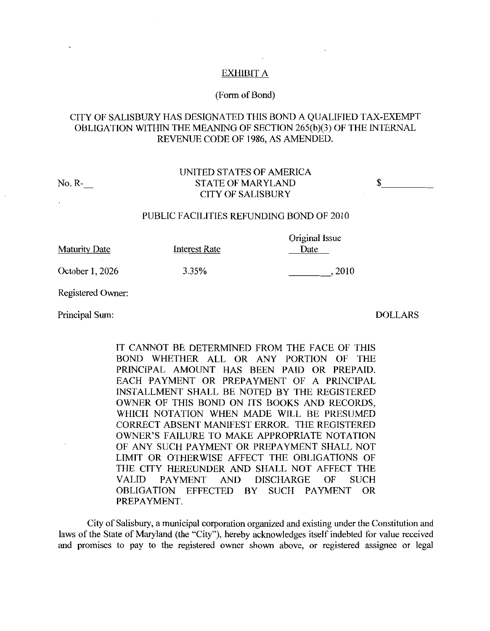## EXHIBIT A

### (Form of Bond)

# CITY OF SALISBURY HAS DESIGNATED THIS BOND <sup>A</sup> QUALIFIED TAX EXEMPT OBLIGATION WITHIN THE MEANING OF SECTION 265(b)(3) OF THE INTERNAL REVENUE CODE OF 1986 AS AMENDED

UNITED STATES OF AMERICA NoR STATE OF MARYLAND CITY OF SALISBURY

#### PUBLIC FACILITIES REFUNDING BOND OF 2010

 $Q_{\text{min}}$   $I_{\text{max}}$ 

| <b>Maturity Date</b> | Interest Rate | <b>Original Issue</b><br>Date |
|----------------------|---------------|-------------------------------|
| October 1, 2026      | 3.35%         | 2010                          |

Registered Owner

Principal Sum: DOLLARS

IT CANNOT BE DETERMINED FROM THE FACE OF THIS BOND WHETHER ALL OR ANY PORTION OF THE PRINCIPAL AMOUNT HAS BEEN PAID OR PREPAID EACH PAYMENT OR PREPAYMENT OF A PRINCIPAL INSTALLMENT SHALL BE NOTED BY THE REGISTERED OWNER OF THIS BOND ON ITS BOOKS AND RECORDS WHICH NOTATION WHEN MADE WILL BE PRESUMED CORRECT ABSENT MANIFEST ERROR. THE REGISTERED INSTALLMENT SHALL BE NOTED BY THE REGISTERED OWNER OF THIS BOND ON ITS BOOKS AND RECORDS, WHICH NOTATION WHEN MADE WILL BE PRESUMED CORRECT ABSENT MANIFEST ERROR. THE REGISTERED OWNER'S FAILURE TO MAKE APPROPRIATE NOTATION OF ANY SUCH PAYMENT OR PREPAYMENT SHALL NOT LIMIT OR OTHERWISE AFFECT THE OBLIGATIONS OF THE CITY HEREUNDER AND SHALL NOT AFFECT THE VALID PAYMENT AND DISCHARGE OF SUCH OBLIGATION EFFECTED BY SUCH PAYMENT OR PREPAYMENT

City of Salisbury, a municipal corporation organized and existing under the Constitution and laws of the State of Maryland (the "City"), hereby acknowledges itself indebted for value received and promises to pay to the registered owner shown above, or registered assignee or legal

\$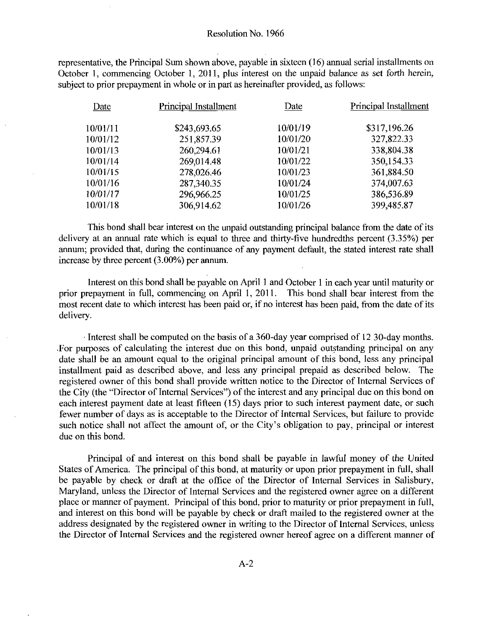representative, the Principal Sum shown above, payable in sixteen (16) annual serial installments on October 1, commencing October 1, 2011, plus interest on the unpaid balance as set forth herein, subject to prior prepayment in whole or in part as hereinafter provided, as follows:

| Principal Installment | Date     | Principal Installment |
|-----------------------|----------|-----------------------|
| \$243,693.65          | 10/01/19 | \$317,196.26          |
| 251,857.39            | 10/01/20 | 327,822.33            |
| 260,294.61            | 10/01/21 | 338,804.38            |
| 269,014.48            | 10/01/22 | 350,154.33            |
| 278,026.46            | 10/01/23 | 361,884.50            |
| 287,340.35            | 10/01/24 | 374,007.63            |
| 296,966.25            | 10/01/25 | 386,536.89            |
| 306,914.62            | 10/01/26 | 399,485.87            |
|                       |          |                       |

This bond shall bear interest on the unpaid outstanding principal balance from the date of its delivery at an annual rate which is equal to three and thirty-five hundredths percent  $(3.35%)$  per annum; provided that, during the continuance of any payment default, the stated interest rate shall increase by three percent  $(3.00\%)$  per annum.

Interest on this bond shall be payable on April 1 and October 1 in each year until maturity or prior prepayment in full, commencing on April 1, 2011. This bond shall bear interest from the most recent date to which interest has been paid or, if no interest has been paid, from the date of its delivery.

Interest shall be computed on the basis of a 360-day year comprised of  $12$  30-day months. For purposes of calculating the interest due on this bond, unpaid outstanding principal on any date shall be an amount equal to the original principal amount of this bond, less any principal installment paid as described above, and less any principal prepaid as described below. The registered owner of this bond shall provide written notice to the Director of Internal Services of the City (the "Director of Internal Services") of the interest and any principal due on this bond on each interest payment date at least fifteen  $(15)$  days prior to such interest payment date, or such fewer number of days as is acceptable to the Director of Internal Services, but failure to provide such notice shall not fewer number of days as is acceptable to the Director of Internal Services, but failure to provide such notice shall not affect the amount of, or the City's obligation to pay, principal or interest due on this bond

Principal of and interest on this bond shall be payable in lawful money of the United States of America. The principal of this bond, at maturity or upon prior prepayment in full, shall be payable by check or draft at the office of the Director of Internal Services in Salisbury Maryland, unless the Director of Internal Services and the registered owner agree on a different place or manner of payment. Principal of this bond, prior to maturity or prior prepayment in full, and interest on this bond will be payable by check or draft mailed to the registered owner at the address designated by the registered owner in writing to the Director of Internal Services, unless the Director of Internal Services and the registered owner hereof agree on a different manner of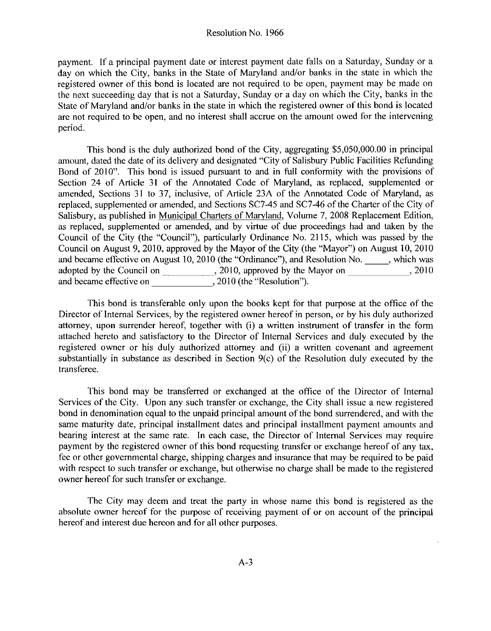payment. If a principal payment date or interest payment date falls on a Saturday, Sunday or a day on which the City, banks in the State of Maryland and/or banks in the state in which the registered owner of this bond is located are not required to be open, payment may be made on the next succeeding day that is not a Saturday, Sunday or a day on which the City, banks in the State of Maryland and/or banks in the next succeeding day that is not a Saturday. Sunday or a day on which the City, banks in the State of Maryland and/or banks in the state in which the registered owner of this bond is located are not required to be open, and no interest shall accrue on the amount owed for the intervening period

amount, dated the date of its delivery and designated "City of Salisbury Public Facilities Refunding Bond of 2010". This bond is issued pursuant to and in full conformity with the provisions of Section 24 of Article 31 of the Annotated Code of Maryland, as replaced, supplemented or amended, Sections 31 to 37, inclusive, of Article 23A of the Annotated Code of Maryland, as<br>replaced, supplemented or amended, and Sections SC7-45 and SC7-46 of the Charter of the City of Salisbury, as published in Municipal Charters of Maryland, Volume 7, 2008 Replacement Edition, as replaced, supplemented or amended, and by virtue of due proceedings had and taken by the Council of the City (the "Council"), particularly Ordinance No. 2115, which was passed by the Council on August 9, 2010, approved by the Mayor of the City (the "Mayor") on August 10, 2010 and became effective on August 10, 2010 (the "Ordinance"), and Resolution No. which was adopted by the Council on 2010, approved by the Mayor on 2010 and became effective on 2010 (the "Resolution").

This bond is transferable only upon the books kept for that purpose at the office of the Director of Internal Services, by the registered owner hereof in person, or by his duly authorized attorney, upon surrender hereof, together with (i) a written instrument of transfer in the form This bond is transferable only upon the books kept for that purpose at the office of the Director of Internal Services, by the registered owner hereof in person, or by his duly authorized attorney, upon surrender hereof, t attached hereto and satisfactory to the Director of Internal Services and duly executed by the registered owner or his duly authorized attorney and (ii) a written covenant and agreement registered owner or his duly authorized attorney and (ii) a written covenant and agreement<br>substantially in substance as described in Section 9(c) of the Resolution duly executed by the<br>transferee transferee

This bond may be transferred or exchanged at the office of the Director of Internal Services of the City. Upon any such transfer or exchange, the City shall issue a new registered bond in denomination equal to the unpaid principal amount of the bond surrendered, and with the same maturity date, principal installment dates and principal installment payment amounts and bearing interest at the same rate. In each case, the Director of Internal Services may require payment by the registered owner of this bond requesting transfer or exchange hereof of any tax, fee or other governmental charge, shipping charges and insurance that may be required to be paid with respect to such transfer or exchange, but otherwise no charge shall be made to the registered owner hereof for such transfer or exchange.

fhe City may deem and treat the party in whose name this bond is registered as the absolute owner hereof for the purpose of receiving payment of or on account of the principal hereof and interest due hereon and for all other purposes.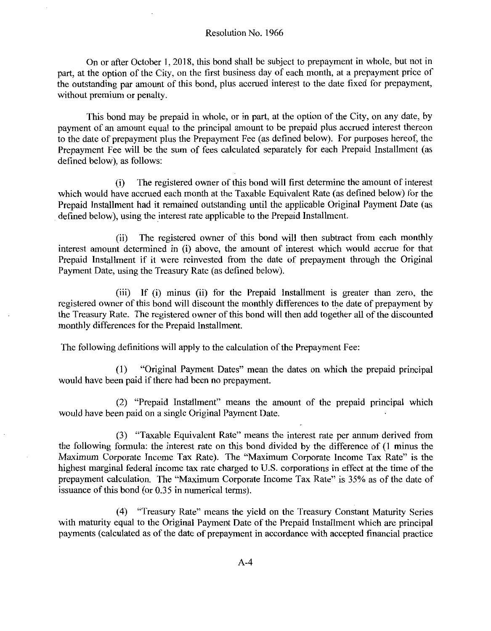On or after October 1, 2018, this bond shall be subject to prepayment in whole, but not in part, at the option of the City, on the first business day of each month, at a prepayment price of the outstanding par amount of this bond, plus accrued interest to the date fixed for prepayment, without premium or penalty.

This bond may be prepaid in whole, or in part, at the option of the City, on any date, by payment of an amount equal to the principal amount to be prepaid plus accrued interest thereon to the date of prepayment plus the Prepayment Fee (as defined below). For purposes hereof, the Prepayment Fee will be the sum of fees calculated separately for each Prepaid Installment (as defined below), as follows:

i The registered owner of this bond will first determine the amount of interest which would have accrued each month at the Taxable Equivalent Rate (as defined below) for the Prepaid Installment had it remained outstanding until the applicable Original Payment Date (as defined below), using the interest rate applicable to the Prepaid Installment.

(ii) The registered owner of this bond will then subtract from each monthly interest amount determined in (i) above, the amount of interest which would accrue for that Prepaid Installment if it were reinvested from the date of prepayment through the Original Payment Date, using the Treasury Rate (as defined below).

(iii) If (i) minus (ii) for the Prepaid Installment is greater than zero, the registered owner of this bond will discount the monthly differences to the date of prepayment by the Treasury Rate. The registered owner of this bond will then add together all of the discounted monthly differences for the Prepaid Installment

The following definitions will apply to the calculation of the Prepayment Fee

(1) "Original Payment Dates" mean the dates on which the prepaid principal would have been paid if there had been no prepayment

 $(2)$  "Prepaid Installment" means the amount of the prepaid principal which would have been paid on a single Original Payment Date

(3) "Taxable Equivalent Rate" means the interest rate per annum derived from the following formula: the interest rate on this bond divided by the difference of (1 minus the Maximum Corporate Income Tax Rate). The "Maximum Corporate Income Tax Rate" is the highest marginal federal income tax rate charged to U.S. corporations in effect at the time of the prepayment calculation. The "Maximum Corporate Income Tax Rate" is 35% as of the date of issuance of this bond (or 0.35 in numerical terms).

(4) "Treasury Rate" means the yield on the Treasury Constant Maturity Series with maturity equal to the Original Payment Date of the Prepaid Installment which are principal payments calculated as of the date of prepayment in accordance with accepted financial practice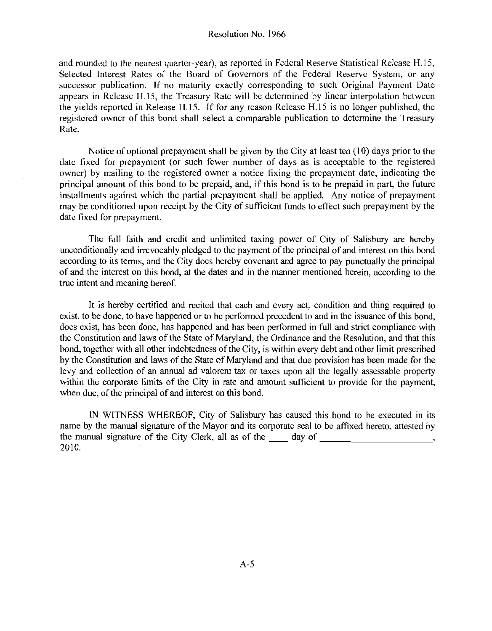and rounded to the nearest quarter-year), as reported in Federal Reserve Statistical Release H.15, Selected Interest Rates of the Board of Governors of the Federal Reserve System or any successor publication. If no maturity exactly corresponding to such Original Payment Date appears in Release H.15, the Treasury Rate will be determined by linear interpolation between appears in Release H.15, the Treasury Rate will be determined by linear interpolation between<br>the yields reported in Release H.15. If for any reason Release H.15 is no longer published, the registered owner of this bond shall select a comparable publication to determine the Treasury Rate

Notice of optional prepayment shall be given by the City at least ten 10 days prior to the date fixed for prepayment (or such fewer number of days as is acceptable to the registered owner) by mailing to the registered owner a notice fixing the prepayment date, indicating the principal amount of this bond to be prepaid, and, if this bond is to be prepaid in part, the future installments against which the partial prepayment shall be applied. Any notice of prepayment may be conditioned upon receipt by the City of sufficient funds to effect such prepayment by the date fixed for prepayment

The full faith and credit and unlimited taxing power of City of Salisbury are hereby unconditionally and irrevocably pledged to the payment of the principal of and interest on this bond according to its terms, and the City does hereby covenant and agree to pay punctually the principal of and the interest on this bond, at the dates and in the manner mentioned herein, according to the true intent and meaning hereof

It is hereby certified and recited that each and every act, condition and thing required to exist, to be done, to have happened or to be performed precedent to and in the issuance of this bond. does exist, has been done, has happened and has been performed in full and strict compliance with the Constitution and laws of the State of Maryland, the Ordinance and the Resolution, and that this bond, together with all other indebtedness of the City, is within every debt and other limit prescribed by the Constitution and laws of the State of Maryland and that due provision has been made for the levy and collection of an annual ad valorem tax or taxes upon all the legally assessable property within the corporate limits of the City in rate and amount sufficient to provide for the payment. when due, of the principal of and interest on this bond.

IN WITNESS WHEREOF, City of Salisbury has caused this bond to be executed in its name by the manual signature of the Mayor and its corporate seal to be affixed hereto, attested by the manual signature of the City Clerk all as of the day of 2010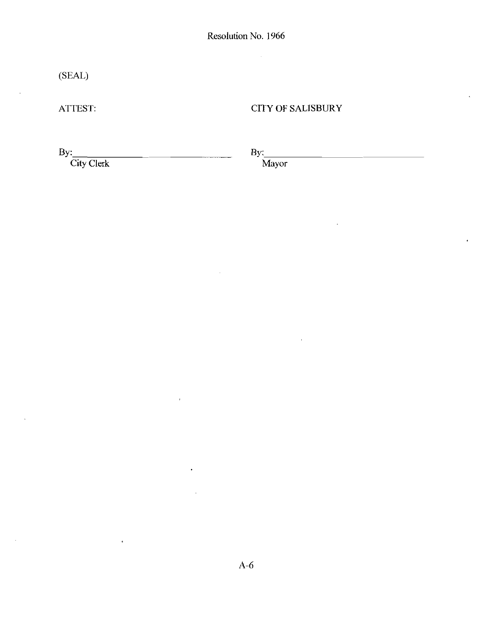$\bar{\mathcal{A}}$ 

(SEAL)

ATTEST

# CITY OF SALISBURY

By:

City Clerk

By:

Mayor